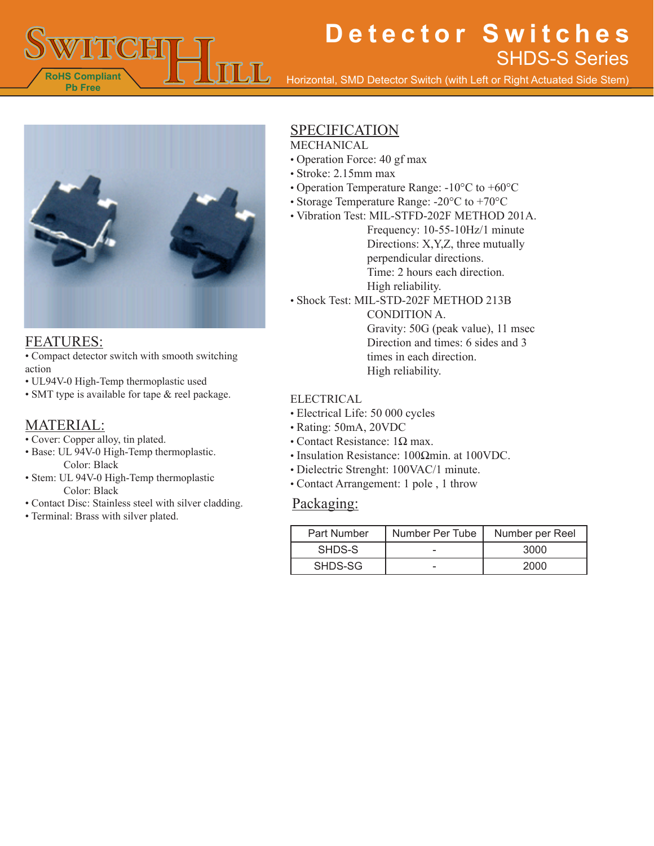

Horizontal, SMD Detector Switch (with Left or Right Actuated Side Stem)



#### FEATURES:

• Compact detector switch with smooth switching action

- UL94V-0 High-Temp thermoplastic used
- SMT type is available for tape & reel package.

#### MATERIAL:

- Cover: Copper alloy, tin plated.
- Base: UL 94V-0 High-Temp thermoplastic. Color: Black
- Stem: UL 94V-0 High-Temp thermoplastic Color: Black
- Contact Disc: Stainless steel with silver cladding.
- Terminal: Brass with silver plated.

### **SPECIFICATION**

#### MECHANICAL

- Operation Force: 40 gf max
- Stroke: 2.15mm max
- Operation Temperature Range: -10°C to +60°C
- Storage Temperature Range: -20°C to +70°C
- Vibration Test: MIL-STFD-202F METHOD 201A.

Frequency: 10-55-10Hz/1 minute Directions: X,Y,Z, three mutually perpendicular directions. Time: 2 hours each direction. High reliability.

• Shock Test: MIL-STD-202F METHOD 213B

CONDITION A. Gravity: 50G (peak value), 11 msec Direction and times: 6 sides and 3 times in each direction. High reliability.

#### ELECTRICAL

- Electrical Life: 50 000 cycles
- Rating: 50mA, 20VDC
- Contact Resistance:  $1Ω$  max.
- Insulation Resistance: 100Ωmin. at 100VDC.
- Dielectric Strenght: 100VAC/1 minute.
- Contact Arrangement: 1 pole , 1 throw

#### Packaging:

| Part Number | Number Per Tube | Number per Reel |
|-------------|-----------------|-----------------|
| SHDS-S      |                 | 3000            |
| SHDS-SG     |                 | 2000            |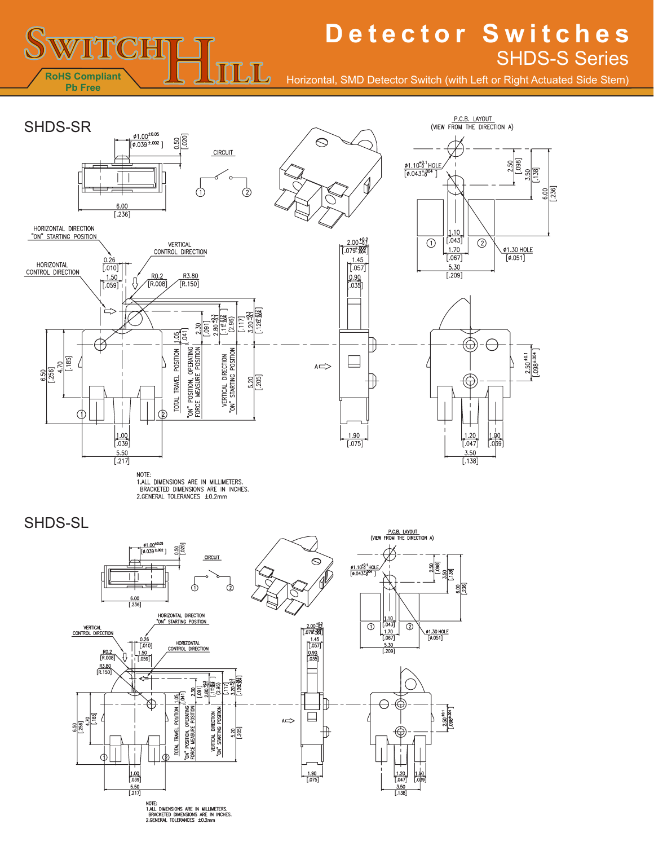

Horizontal, SMD Detector Switch (with Left or Right Actuated Side Stem)



NOTE.<br>1.ALL DIMENSIONS ARE IN MILLIMETERS.<br>BRACKETED DIMENSIONS ARE IN INCHES.<br>2.GENERAL TOLERANCES ±0.2mm

SHDS-SL

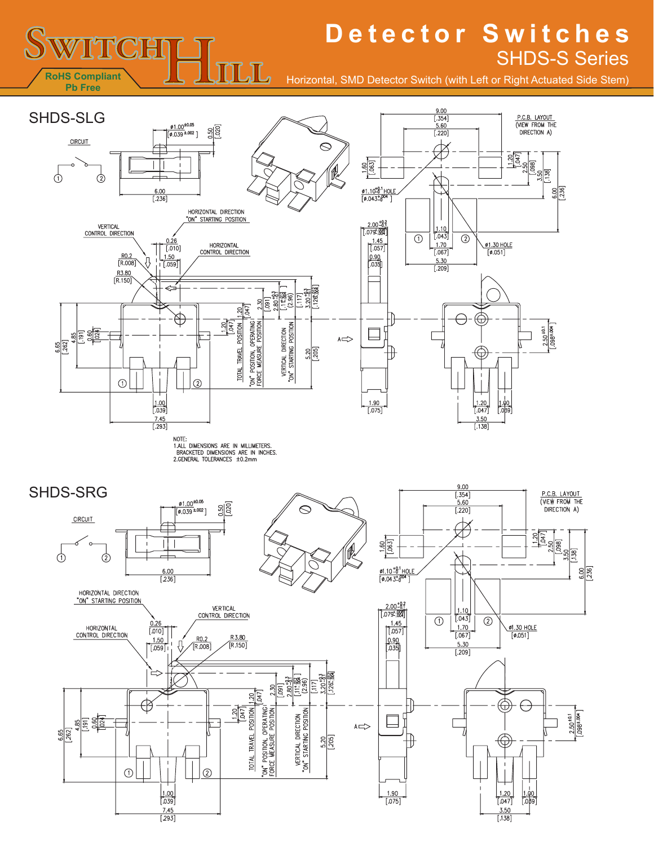Horizontal, SMD Detector Switch (with Left or Right Actuated Side Stem)



几

**RoHS Compliant**

WITCH